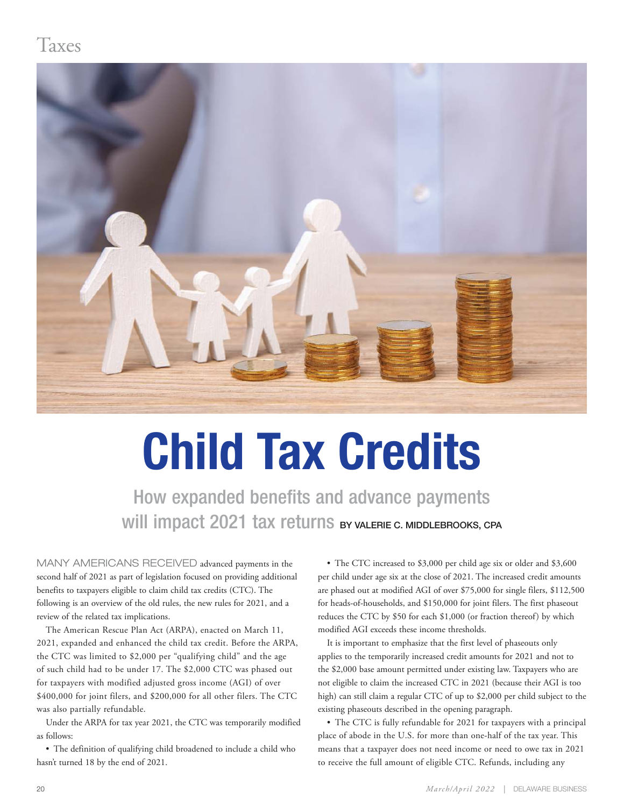## Taxes



# **Child Tax Credits**

How expanded benefits and advance payments Will impact 2021 tax returns BY VALERIE C. MIDDLEBROOKS, CPA

MANY AMERICANS RECEIVED advanced payments in the second half of 2021 as part of legislation focused on providing additional benefits to taxpayers eligible to claim child tax credits (CTC). The following is an overview of the old rules, the new rules for 2021, and a review of the related tax implications.

The American Rescue Plan Act (ARPA), enacted on March 11, 2021, expanded and enhanced the child tax credit. Before the ARPA, the CTC was limited to \$2,000 per "qualifying child" and the age of such child had to be under 17. The \$2,000 CTC was phased out for taxpayers with modified adjusted gross income (AGI) of over \$400,000 for joint filers, and \$200,000 for all other filers. The CTC was also partially refundable.

Under the ARPA for tax year 2021, the CTC was temporarily modified as follows:

• The definition of qualifying child broadened to include a child who hasn't turned 18 by the end of 2021.

• The CTC increased to \$3,000 per child age six or older and \$3,600 per child under age six at the close of 2021. The increased credit amounts are phased out at modified AGI of over \$75,000 for single filers, \$112,500 for heads-of-households, and \$150,000 for joint filers. The first phaseout reduces the CTC by \$50 for each \$1,000 (or fraction thereof) by which modified AGI exceeds these income thresholds.

It is important to emphasize that the first level of phaseouts only applies to the temporarily increased credit amounts for 2021 and not to the \$2,000 base amount permitted under existing law. Taxpayers who are not eligible to claim the increased CTC in 2021 (because their AGI is too high) can still claim a regular CTC of up to \$2,000 per child subject to the existing phaseouts described in the opening paragraph.

• The CTC is fully refundable for 2021 for taxpayers with a principal place of abode in the U.S. for more than one-half of the tax year. This means that a taxpayer does not need income or need to owe tax in 2021 to receive the full amount of eligible CTC. Refunds, including any